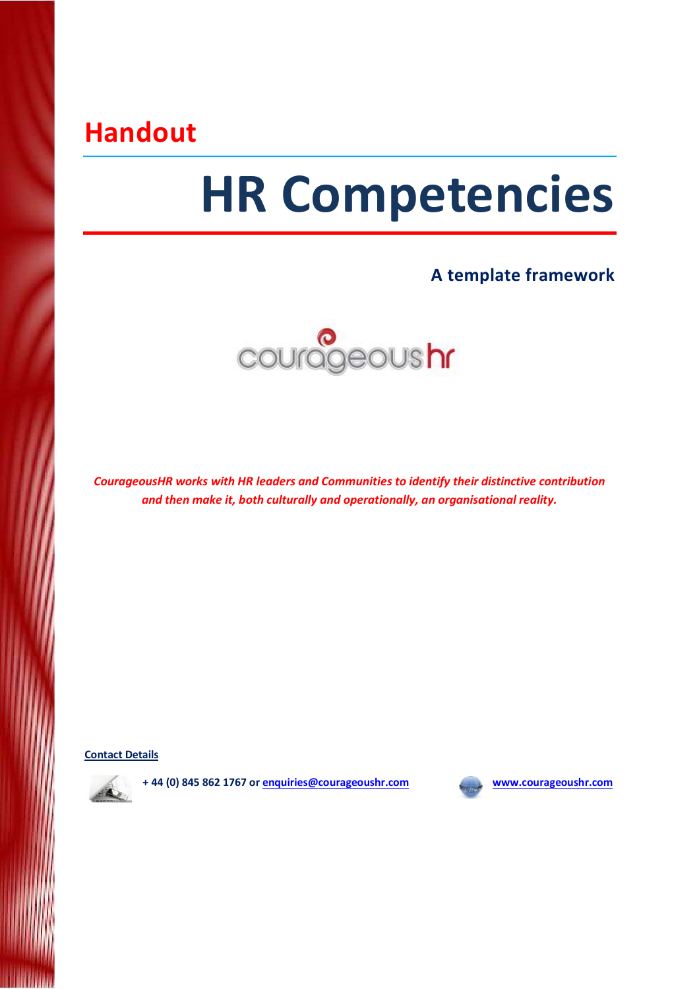## Handout

# HR Competencies

## A template framework



CourageousHR works with HR leaders and Communities to identify their distinctive contribution and then make it, both culturally and operationally, an organisational reality.

Contact Details



+ 44 (0) 845 862 1767 or enquiries@courageoushr.com www.courageoushr.com

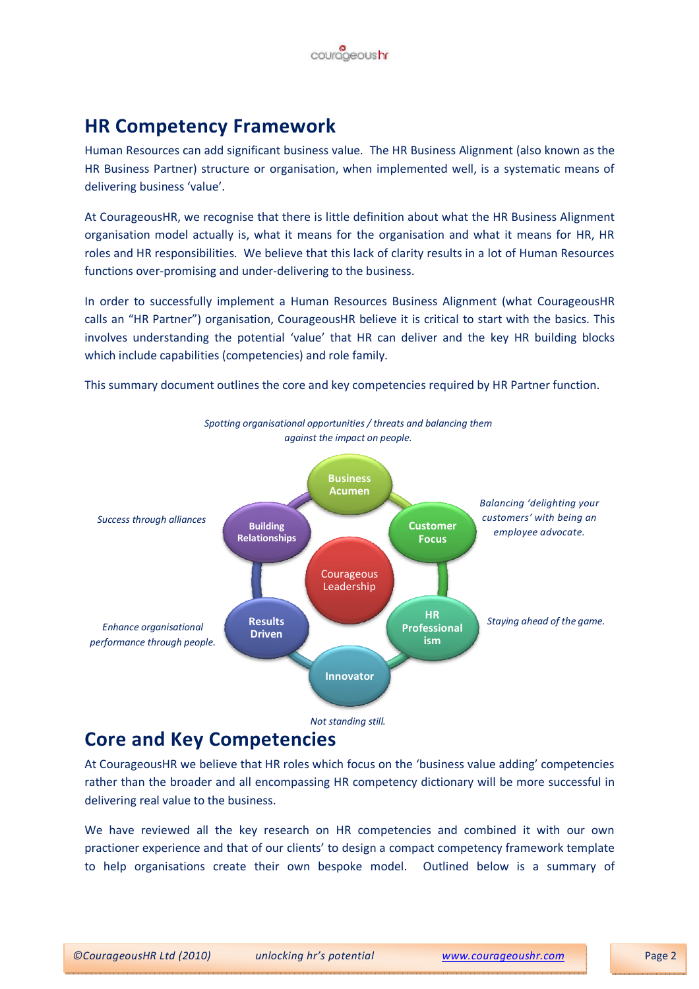

## HR Competency Framework

Human Resources can add significant business value. The HR Business Alignment (also known as the HR Business Partner) structure or organisation, when implemented well, is a systematic means of delivering business 'value'.

At CourageousHR, we recognise that there is little definition about what the HR Business Alignment organisation model actually is, what it means for the organisation and what it means for HR, HR roles and HR responsibilities. We believe that this lack of clarity results in a lot of Human Resources functions over-promising and under-delivering to the business.

In order to successfully implement a Human Resources Business Alignment (what CourageousHR calls an "HR Partner") organisation, CourageousHR believe it is critical to start with the basics. This involves understanding the potential 'value' that HR can deliver and the key HR building blocks which include capabilities (competencies) and role family.

This summary document outlines the core and key competencies required by HR Partner function.



## Core and Key Competencies

At CourageousHR we believe that HR roles which focus on the 'business value adding' competencies rather than the broader and all encompassing HR competency dictionary will be more successful in delivering real value to the business.

We have reviewed all the key research on HR competencies and combined it with our own practioner experience and that of our clients' to design a compact competency framework template to help organisations create their own bespoke model. Outlined below is a summary of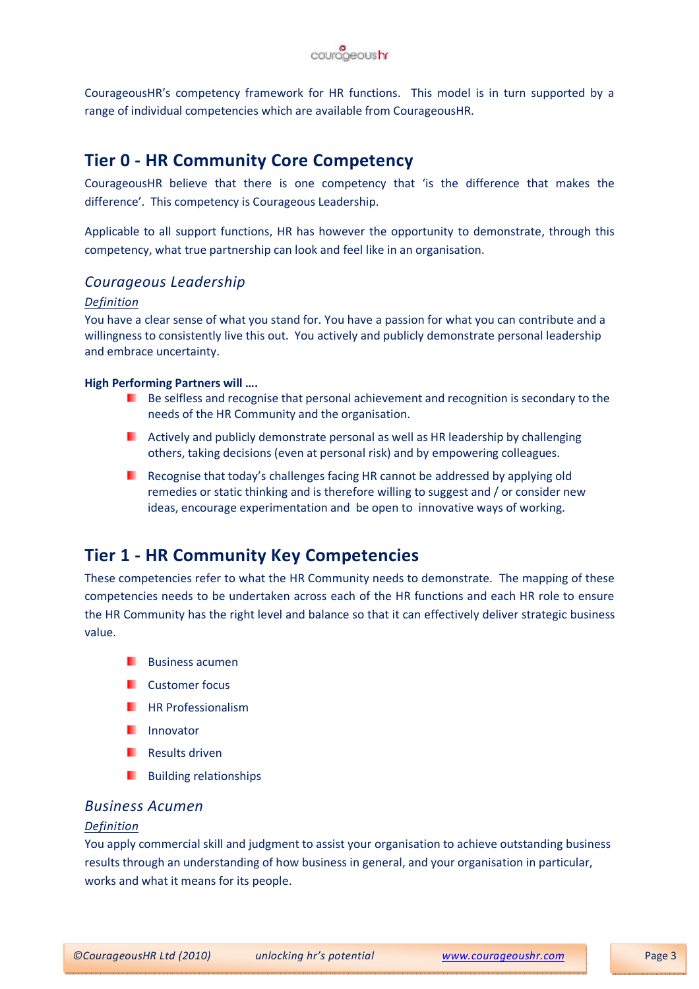

CourageousHR's competency framework for HR functions. This model is in turn supported by a range of individual competencies which are available from CourageousHR.

## Tier 0 - HR Community Core Competency

CourageousHR believe that there is one competency that 'is the difference that makes the difference'. This competency is Courageous Leadership.

Applicable to all support functions, HR has however the opportunity to demonstrate, through this competency, what true partnership can look and feel like in an organisation.

#### Courageous Leadership

#### Definition

You have a clear sense of what you stand for. You have a passion for what you can contribute and a willingness to consistently live this out. You actively and publicly demonstrate personal leadership and embrace uncertainty.

#### High Performing Partners will ….

- Be selfless and recognise that personal achievement and recognition is secondary to the needs of the HR Community and the organisation.
- **Actively and publicly demonstrate personal as well as HR leadership by challenging** others, taking decisions (even at personal risk) and by empowering colleagues.
- **Recognise that today's challenges facing HR cannot be addressed by applying old** remedies or static thinking and is therefore willing to suggest and / or consider new ideas, encourage experimentation and be open to innovative ways of working.

## Tier 1 - HR Community Key Competencies

These competencies refer to what the HR Community needs to demonstrate. The mapping of these competencies needs to be undertaken across each of the HR functions and each HR role to ensure the HR Community has the right level and balance so that it can effectively deliver strategic business value.

- **Business acument**
- **Customer focus**
- **HR Professionalism**
- **I**I Innovator
- **Results driven**
- Building relationships .

#### Business Acumen

#### Definition

You apply commercial skill and judgment to assist your organisation to achieve outstanding business results through an understanding of how business in general, and your organisation in particular, works and what it means for its people.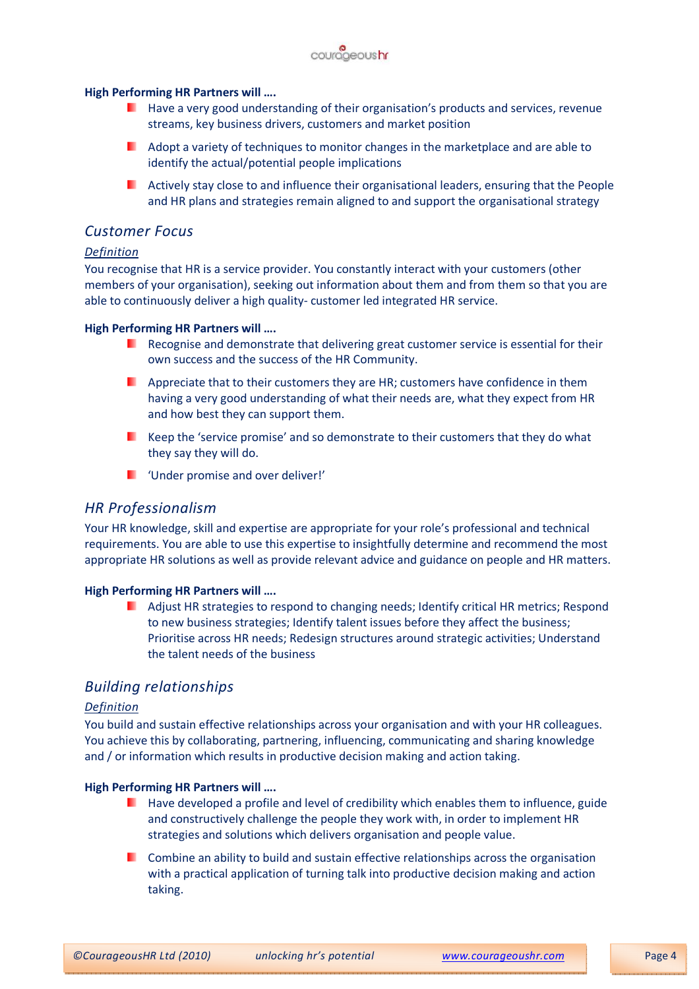

#### High Performing HR Partners will ….

- Have a very good understanding of their organisation's products and services, revenue streams, key business drivers, customers and market position
- **Adopt a variety of techniques to monitor changes in the marketplace and are able to** identify the actual/potential people implications
- **Actively stay close to and influence their organisational leaders, ensuring that the People** and HR plans and strategies remain aligned to and support the organisational strategy

#### Customer Focus

#### Definition

You recognise that HR is a service provider. You constantly interact with your customers (other members of your organisation), seeking out information about them and from them so that you are able to continuously deliver a high quality- customer led integrated HR service.

#### High Performing HR Partners will ….

- Recognise and demonstrate that delivering great customer service is essential for their own success and the success of the HR Community.
- **Appreciate that to their customers they are HR; customers have confidence in them** having a very good understanding of what their needs are, what they expect from HR and how best they can support them.
- $\blacksquare$  Keep the 'service promise' and so demonstrate to their customers that they do what they say they will do.
- **U** 'Under promise and over deliver!'

#### HR Professionalism

Your HR knowledge, skill and expertise are appropriate for your role's professional and technical requirements. You are able to use this expertise to insightfully determine and recommend the most appropriate HR solutions as well as provide relevant advice and guidance on people and HR matters.

#### High Performing HR Partners will ….

Adjust HR strategies to respond to changing needs; Identify critical HR metrics; Respond . to new business strategies; Identify talent issues before they affect the business; Prioritise across HR needs; Redesign structures around strategic activities; Understand the talent needs of the business

#### Building relationships

#### Definition

You build and sustain effective relationships across your organisation and with your HR colleagues. You achieve this by collaborating, partnering, influencing, communicating and sharing knowledge and / or information which results in productive decision making and action taking.

#### High Performing HR Partners will ….

- Have developed a profile and level of credibility which enables them to influence, guide and constructively challenge the people they work with, in order to implement HR strategies and solutions which delivers organisation and people value.
- Combine an ability to build and sustain effective relationships across the organisation . . with a practical application of turning talk into productive decision making and action taking.